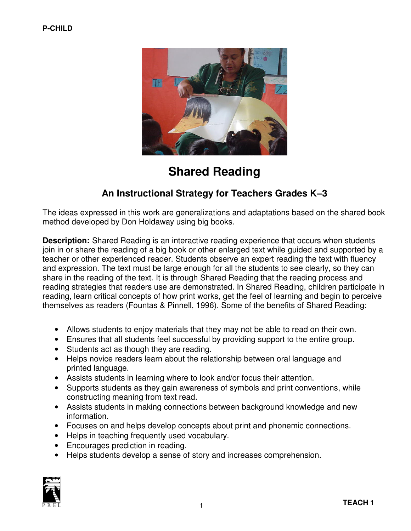

# Shared Reading

# An Instructional Strategy for Teachers Grades K–3

The ideas expressed in this work are generalizations and adaptations based on the shared book method developed by Don Holdaway using big books.

**Description:** Shared Reading is an interactive reading experience that occurs when students join in or share the reading of a big book or other enlarged text while guided and supported by a teacher or other experienced reader. Students observe an expert reading the text with fluency and expression. The text must be large enough for all the students to see clearly, so they can share in the reading of the text. It is through Shared Reading that the reading process and reading strategies that readers use are demonstrated. In Shared Reading, children participate in reading, learn critical concepts of how print works, get the feel of learning and begin to perceive themselves as readers (Fountas & Pinnell, 1996). Some of the benefits of Shared Reading:

- Allows students to enjoy materials that they may not be able to read on their own.
- Ensures that all students feel successful by providing support to the entire group.
- Students act as though they are reading.
- Helps novice readers learn about the relationship between oral language and printed language.
- Assists students in learning where to look and/or focus their attention.
- Supports students as they gain awareness of symbols and print conventions, while constructing meaning from text read.
- Assists students in making connections between background knowledge and new information.
- Focuses on and helps develop concepts about print and phonemic connections.
- Helps in teaching frequently used vocabulary.
- Encourages prediction in reading.
- Helps students develop a sense of story and increases comprehension.

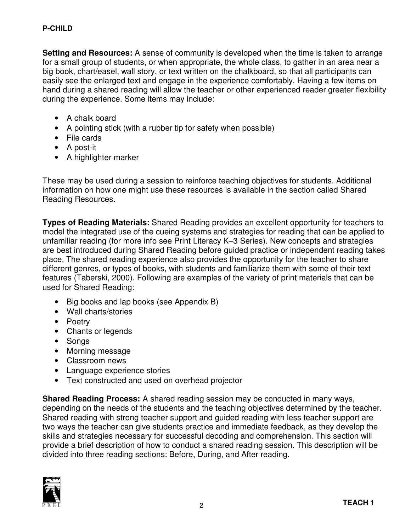**Setting and Resources:** A sense of community is developed when the time is taken to arrange for a small group of students, or when appropriate, the whole class, to gather in an area near a big book, chart/easel, wall story, or text written on the chalkboard, so that all participants can easily see the enlarged text and engage in the experience comfortably. Having a few items on hand during a shared reading will allow the teacher or other experienced reader greater flexibility during the experience. Some items may include:

- A chalk board
- A pointing stick (with a rubber tip for safety when possible)
- File cards
- A post-it
- A highlighter marker

These may be used during a session to reinforce teaching objectives for students. Additional information on how one might use these resources is available in the section called Shared Reading Resources.

Types of Reading Materials: Shared Reading provides an excellent opportunity for teachers to model the integrated use of the cueing systems and strategies for reading that can be applied to unfamiliar reading (for more info see Print Literacy K–3 Series). New concepts and strategies are best introduced during Shared Reading before guided practice or independent reading takes place. The shared reading experience also provides the opportunity for the teacher to share different genres, or types of books, with students and familiarize them with some of their text features (Taberski, 2000). Following are examples of the variety of print materials that can be used for Shared Reading:

- Big books and lap books (see Appendix B)
- Wall charts/stories
- Poetry
- Chants or legends
- Songs
- Morning message
- Classroom news
- Language experience stories
- Text constructed and used on overhead projector

Shared Reading Process: A shared reading session may be conducted in many ways, depending on the needs of the students and the teaching objectives determined by the teacher. Shared reading with strong teacher support and guided reading with less teacher support are two ways the teacher can give students practice and immediate feedback, as they develop the skills and strategies necessary for successful decoding and comprehension. This section will provide a brief description of how to conduct a shared reading session. This description will be divided into three reading sections: Before, During, and After reading.

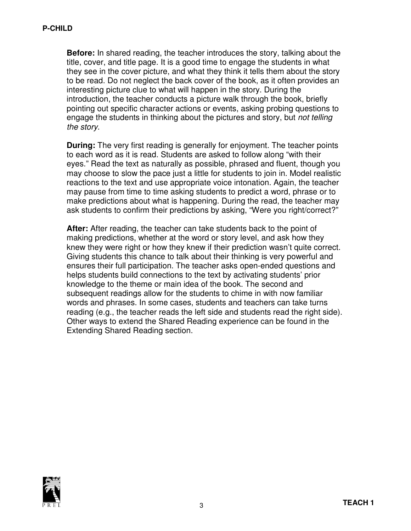Before: In shared reading, the teacher introduces the story, talking about the title, cover, and title page. It is a good time to engage the students in what they see in the cover picture, and what they think it tells them about the story to be read. Do not neglect the back cover of the book, as it often provides an interesting picture clue to what will happen in the story. During the introduction, the teacher conducts a picture walk through the book, briefly pointing out specific character actions or events, asking probing questions to engage the students in thinking about the pictures and story, but *not telling* the story.

**During:** The very first reading is generally for enjoyment. The teacher points to each word as it is read. Students are asked to follow along "with their eyes." Read the text as naturally as possible, phrased and fluent, though you may choose to slow the pace just a little for students to join in. Model realistic reactions to the text and use appropriate voice intonation. Again, the teacher may pause from time to time asking students to predict a word, phrase or to make predictions about what is happening. During the read, the teacher may ask students to confirm their predictions by asking, "Were you right/correct?"

After: After reading, the teacher can take students back to the point of making predictions, whether at the word or story level, and ask how they knew they were right or how they knew if their prediction wasn't quite correct. Giving students this chance to talk about their thinking is very powerful and ensures their full participation. The teacher asks open-ended questions and helps students build connections to the text by activating students' prior knowledge to the theme or main idea of the book. The second and subsequent readings allow for the students to chime in with now familiar words and phrases. In some cases, students and teachers can take turns reading (e.g., the teacher reads the left side and students read the right side). Other ways to extend the Shared Reading experience can be found in the Extending Shared Reading section.

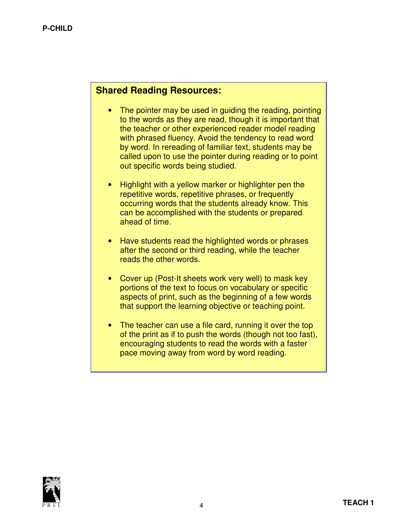# Shared Reading Resources:

- The pointer may be used in guiding the reading, pointing to the words as they are read, though it is important that the teacher or other experienced reader model reading with phrased fluency. Avoid the tendency to read word by word. In rereading of familiar text, students may be called upon to use the pointer during reading or to point out specific words being studied.
- Highlight with a yellow marker or highlighter pen the repetitive words, repetitive phrases, or frequently occurring words that the students already know. This can be accomplished with the students or prepared ahead of time.
- Have students read the highlighted words or phrases after the second or third reading, while the teacher reads the other words.
- Cover up (Post-It sheets work very well) to mask key portions of the text to focus on vocabulary or specific aspects of print, such as the beginning of a few words that support the learning objective or teaching point.
- The teacher can use a file card, running it over the top of the print as if to push the words (though not too fast), encouraging students to read the words with a faster pace moving away from word by word reading.

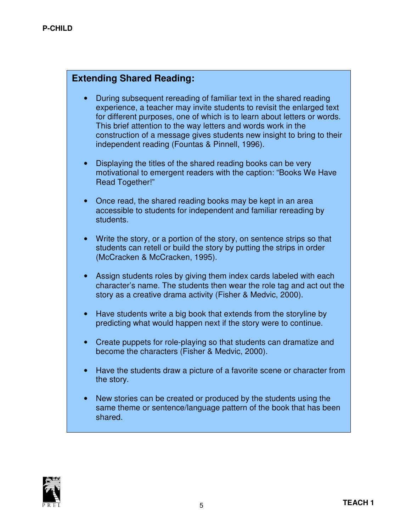# Extending Shared Reading:

- During subsequent rereading of familiar text in the shared reading experience, a teacher may invite students to revisit the enlarged text for different purposes, one of which is to learn about letters or words. This brief attention to the way letters and words work in the construction of a message gives students new insight to bring to their independent reading (Fountas & Pinnell, 1996).
- Displaying the titles of the shared reading books can be very motivational to emergent readers with the caption: "Books We Have Read Together!"
- Once read, the shared reading books may be kept in an area accessible to students for independent and familiar rereading by students.
- Write the story, or a portion of the story, on sentence strips so that students can retell or build the story by putting the strips in order (McCracken & McCracken, 1995).
- Assign students roles by giving them index cards labeled with each character's name. The students then wear the role tag and act out the story as a creative drama activity (Fisher & Medvic, 2000).
- Have students write a big book that extends from the storyline by predicting what would happen next if the story were to continue.
- Create puppets for role-playing so that students can dramatize and become the characters (Fisher & Medvic, 2000).
- Have the students draw a picture of a favorite scene or character from the story.
- New stories can be created or produced by the students using the same theme or sentence/language pattern of the book that has been shared.

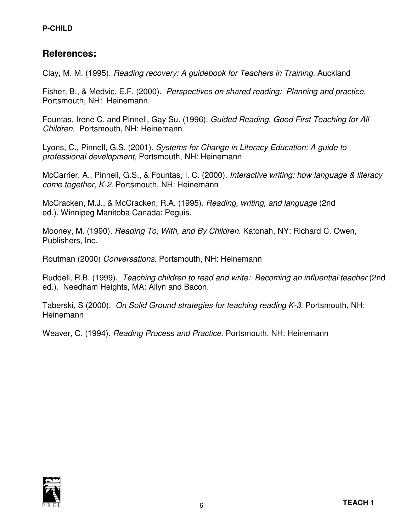#### P-CHILD

# References:

Clay, M. M. (1995). Reading recovery: A guidebook for Teachers in Training. Auckland

Fisher, B., & Medvic, E.F. (2000). Perspectives on shared reading: Planning and practice. Portsmouth, NH: Heinemann.

Fountas, Irene C. and Pinnell, Gay Su. (1996). Guided Reading, Good First Teaching for All Children. Portsmouth, NH: Heinemann

Lyons, C., Pinnell, G.S. (2001). Systems for Change in Literacy Education: A guide to professional development, Portsmouth, NH: Heinemann

McCarrier, A., Pinnell, G.S., & Fountas, I. C. (2000). Interactive writing: how language & literacy come together, K-2. Portsmouth, NH: Heinemann

McCracken, M.J., & McCracken, R.A. (1995). Reading, writing, and language (2nd ed.). Winnipeg Manitoba Canada: Peguis.

Mooney, M. (1990). Reading To, With, and By Children. Katonah, NY: Richard C. Owen, Publishers, Inc.

Routman (2000) Conversations. Portsmouth, NH: Heinemann

Ruddell, R.B. (1999). Teaching children to read and write: Becoming an influential teacher (2nd ed.). Needham Heights, MA: Allyn and Bacon.

Taberski, S (2000). On Solid Ground strategies for teaching reading K-3. Portsmouth, NH: Heinemann

Weaver, C. (1994). Reading Process and Practice. Portsmouth, NH: Heinemann

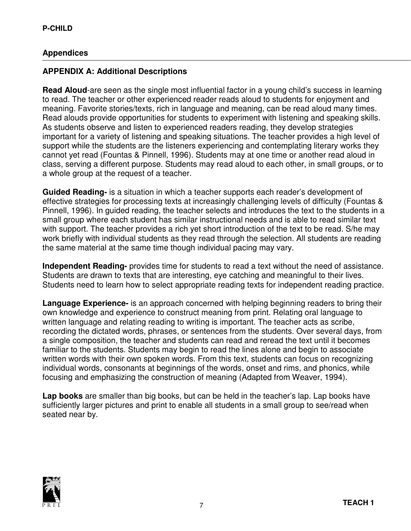## Appendices

### APPENDIX A: Additional Descriptions

Read Aloud-are seen as the single most influential factor in a young child's success in learning to read. The teacher or other experienced reader reads aloud to students for enjoyment and meaning. Favorite stories/texts, rich in language and meaning, can be read aloud many times. Read alouds provide opportunities for students to experiment with listening and speaking skills. As students observe and listen to experienced readers reading, they develop strategies important for a variety of listening and speaking situations. The teacher provides a high level of support while the students are the listeners experiencing and contemplating literary works they cannot yet read (Fountas & Pinnell, 1996). Students may at one time or another read aloud in class, serving a different purpose. Students may read aloud to each other, in small groups, or to a whole group at the request of a teacher.

Guided Reading- is a situation in which a teacher supports each reader's development of effective strategies for processing texts at increasingly challenging levels of difficulty (Fountas & Pinnell, 1996). In guided reading, the teacher selects and introduces the text to the students in a small group where each student has similar instructional needs and is able to read similar text with support. The teacher provides a rich yet short introduction of the text to be read. S/he may work briefly with individual students as they read through the selection. All students are reading the same material at the same time though individual pacing may vary.

Independent Reading- provides time for students to read a text without the need of assistance. Students are drawn to texts that are interesting, eye catching and meaningful to their lives. Students need to learn how to select appropriate reading texts for independent reading practice.

Language Experience- is an approach concerned with helping beginning readers to bring their own knowledge and experience to construct meaning from print. Relating oral language to written language and relating reading to writing is important. The teacher acts as scribe, recording the dictated words, phrases, or sentences from the students. Over several days, from a single composition, the teacher and students can read and reread the text until it becomes familiar to the students. Students may begin to read the lines alone and begin to associate written words with their own spoken words. From this text, students can focus on recognizing individual words, consonants at beginnings of the words, onset and rims, and phonics, while focusing and emphasizing the construction of meaning (Adapted from Weaver, 1994).

Lap books are smaller than big books, but can be held in the teacher's lap. Lap books have sufficiently larger pictures and print to enable all students in a small group to see/read when seated near by.